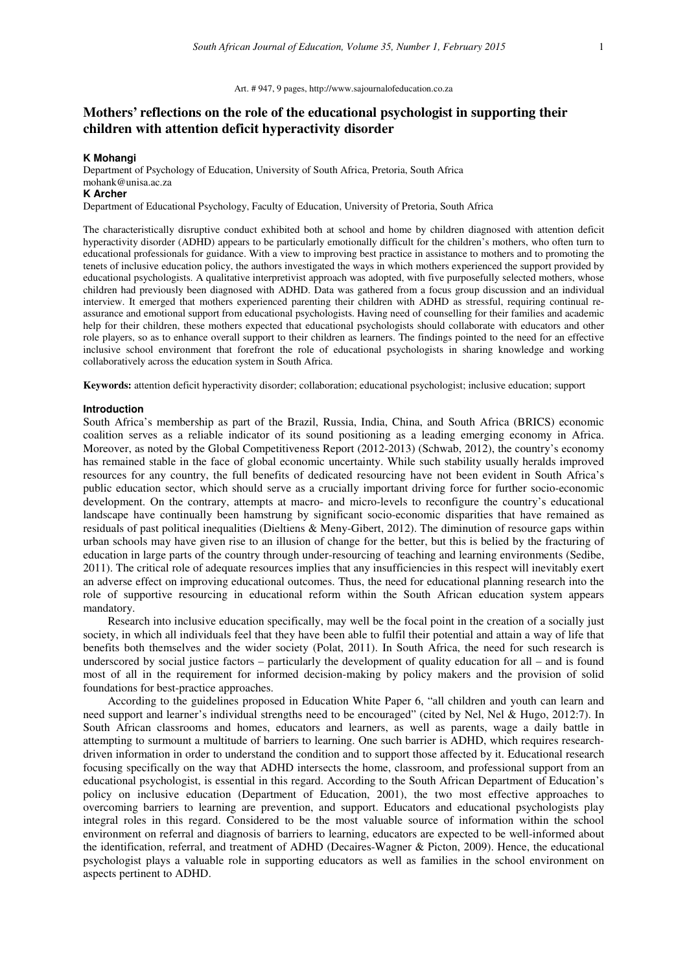#### Art. # 947, 9 pages, http://www.sajournalofeducation.co.za

# **Mothers' reflections on the role of the educational psychologist in supporting their children with attention deficit hyperactivity disorder**

### **K Mohangi**

Department of Psychology of Education, University of South Africa, Pretoria, South Africa mohank@unisa.ac.za **K Archer** 

Department of Educational Psychology, Faculty of Education, University of Pretoria, South Africa

The characteristically disruptive conduct exhibited both at school and home by children diagnosed with attention deficit hyperactivity disorder (ADHD) appears to be particularly emotionally difficult for the children's mothers, who often turn to educational professionals for guidance. With a view to improving best practice in assistance to mothers and to promoting the tenets of inclusive education policy, the authors investigated the ways in which mothers experienced the support provided by educational psychologists. A qualitative interpretivist approach was adopted, with five purposefully selected mothers, whose children had previously been diagnosed with ADHD. Data was gathered from a focus group discussion and an individual interview. It emerged that mothers experienced parenting their children with ADHD as stressful, requiring continual reassurance and emotional support from educational psychologists. Having need of counselling for their families and academic help for their children, these mothers expected that educational psychologists should collaborate with educators and other role players, so as to enhance overall support to their children as learners. The findings pointed to the need for an effective inclusive school environment that forefront the role of educational psychologists in sharing knowledge and working collaboratively across the education system in South Africa.

**Keywords:** attention deficit hyperactivity disorder; collaboration; educational psychologist; inclusive education; support

### **Introduction**

South Africa's membership as part of the Brazil, Russia, India, China, and South Africa (BRICS) economic coalition serves as a reliable indicator of its sound positioning as a leading emerging economy in Africa. Moreover, as noted by the Global Competitiveness Report (2012-2013) (Schwab, 2012), the country's economy has remained stable in the face of global economic uncertainty. While such stability usually heralds improved resources for any country, the full benefits of dedicated resourcing have not been evident in South Africa's public education sector, which should serve as a crucially important driving force for further socio-economic development. On the contrary, attempts at macro- and micro-levels to reconfigure the country's educational landscape have continually been hamstrung by significant socio-economic disparities that have remained as residuals of past political inequalities (Dieltiens & Meny-Gibert, 2012). The diminution of resource gaps within urban schools may have given rise to an illusion of change for the better, but this is belied by the fracturing of education in large parts of the country through under-resourcing of teaching and learning environments (Sedibe, 2011). The critical role of adequate resources implies that any insufficiencies in this respect will inevitably exert an adverse effect on improving educational outcomes. Thus, the need for educational planning research into the role of supportive resourcing in educational reform within the South African education system appears mandatory.

Research into inclusive education specifically, may well be the focal point in the creation of a socially just society, in which all individuals feel that they have been able to fulfil their potential and attain a way of life that benefits both themselves and the wider society (Polat, 2011). In South Africa, the need for such research is underscored by social justice factors – particularly the development of quality education for all – and is found most of all in the requirement for informed decision-making by policy makers and the provision of solid foundations for best-practice approaches.

According to the guidelines proposed in Education White Paper 6, "all children and youth can learn and need support and learner's individual strengths need to be encouraged" (cited by Nel, Nel & Hugo, 2012:7). In South African classrooms and homes, educators and learners, as well as parents, wage a daily battle in attempting to surmount a multitude of barriers to learning. One such barrier is ADHD, which requires researchdriven information in order to understand the condition and to support those affected by it. Educational research focusing specifically on the way that ADHD intersects the home, classroom, and professional support from an educational psychologist, is essential in this regard. According to the South African Department of Education's policy on inclusive education (Department of Education, 2001), the two most effective approaches to overcoming barriers to learning are prevention, and support. Educators and educational psychologists play integral roles in this regard. Considered to be the most valuable source of information within the school environment on referral and diagnosis of barriers to learning, educators are expected to be well-informed about the identification, referral, and treatment of ADHD (Decaires-Wagner & Picton, 2009). Hence, the educational psychologist plays a valuable role in supporting educators as well as families in the school environment on aspects pertinent to ADHD.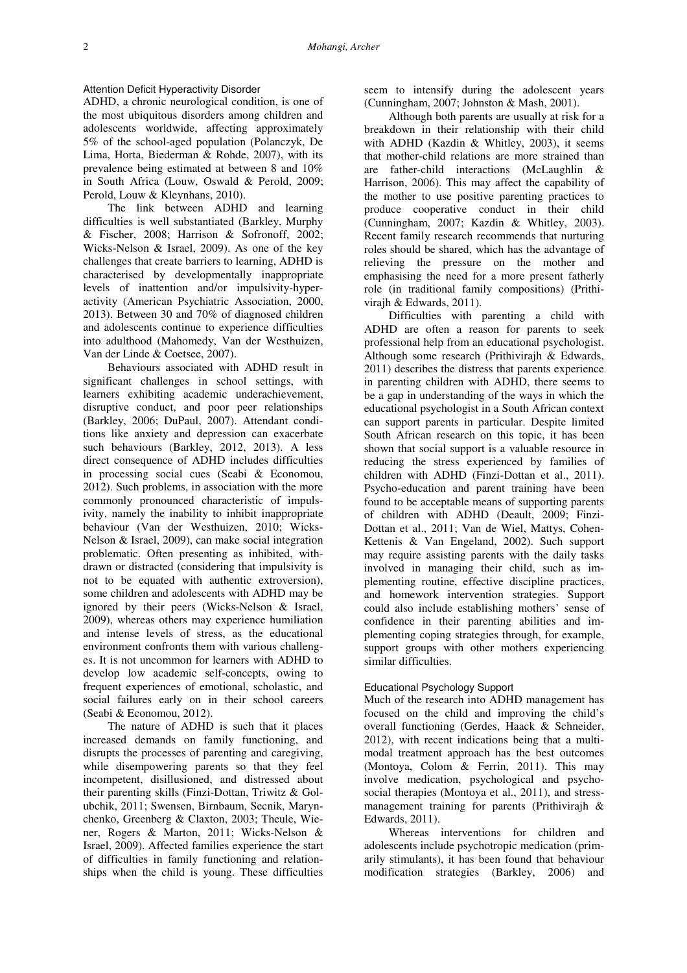## Attention Deficit Hyperactivity Disorder

ADHD, a chronic neurological condition, is one of the most ubiquitous disorders among children and adolescents worldwide, affecting approximately 5% of the school-aged population (Polanczyk, De Lima, Horta, Biederman & Rohde, 2007), with its prevalence being estimated at between 8 and 10% in South Africa (Louw, Oswald & Perold, 2009; Perold, Louw & Kleynhans, 2010).

The link between ADHD and learning difficulties is well substantiated (Barkley, Murphy & Fischer, 2008; Harrison & Sofronoff, 2002; Wicks-Nelson & Israel, 2009). As one of the key challenges that create barriers to learning, ADHD is characterised by developmentally inappropriate levels of inattention and/or impulsivity-hyperactivity (American Psychiatric Association, 2000, 2013). Between 30 and 70% of diagnosed children and adolescents continue to experience difficulties into adulthood (Mahomedy, Van der Westhuizen, Van der Linde & Coetsee, 2007).

Behaviours associated with ADHD result in significant challenges in school settings, with learners exhibiting academic underachievement, disruptive conduct, and poor peer relationships (Barkley, 2006; DuPaul, 2007). Attendant conditions like anxiety and depression can exacerbate such behaviours (Barkley, 2012, 2013). A less direct consequence of ADHD includes difficulties in processing social cues (Seabi & Economou, 2012). Such problems, in association with the more commonly pronounced characteristic of impulsivity, namely the inability to inhibit inappropriate behaviour (Van der Westhuizen, 2010; Wicks-Nelson & Israel, 2009), can make social integration problematic. Often presenting as inhibited, withdrawn or distracted (considering that impulsivity is not to be equated with authentic extroversion), some children and adolescents with ADHD may be ignored by their peers (Wicks-Nelson & Israel, 2009), whereas others may experience humiliation and intense levels of stress, as the educational environment confronts them with various challenges. It is not uncommon for learners with ADHD to develop low academic self-concepts, owing to frequent experiences of emotional, scholastic, and social failures early on in their school careers (Seabi & Economou, 2012).

The nature of ADHD is such that it places increased demands on family functioning, and disrupts the processes of parenting and caregiving, while disempowering parents so that they feel incompetent, disillusioned, and distressed about their parenting skills (Finzi-Dottan, Triwitz & Golubchik, 2011; Swensen, Birnbaum, Secnik, Marynchenko, Greenberg & Claxton, 2003; Theule, Wiener, Rogers & Marton, 2011; Wicks-Nelson & Israel, 2009). Affected families experience the start of difficulties in family functioning and relationships when the child is young. These difficulties

seem to intensify during the adolescent years (Cunningham, 2007; Johnston & Mash, 2001).

Although both parents are usually at risk for a breakdown in their relationship with their child with ADHD (Kazdin & Whitley, 2003), it seems that mother-child relations are more strained than are father-child interactions (McLaughlin & Harrison, 2006). This may affect the capability of the mother to use positive parenting practices to produce cooperative conduct in their child (Cunningham, 2007; Kazdin & Whitley, 2003). Recent family research recommends that nurturing roles should be shared, which has the advantage of relieving the pressure on the mother and emphasising the need for a more present fatherly role (in traditional family compositions) (Prithivirajh & Edwards, 2011).

Difficulties with parenting a child with ADHD are often a reason for parents to seek professional help from an educational psychologist. Although some research (Prithivirajh & Edwards, 2011) describes the distress that parents experience in parenting children with ADHD, there seems to be a gap in understanding of the ways in which the educational psychologist in a South African context can support parents in particular. Despite limited South African research on this topic, it has been shown that social support is a valuable resource in reducing the stress experienced by families of children with ADHD (Finzi-Dottan et al., 2011). Psycho-education and parent training have been found to be acceptable means of supporting parents of children with ADHD (Deault, 2009; Finzi-Dottan et al., 2011; Van de Wiel, Mattys, Cohen-Kettenis & Van Engeland, 2002). Such support may require assisting parents with the daily tasks involved in managing their child, such as implementing routine, effective discipline practices, and homework intervention strategies. Support could also include establishing mothers' sense of confidence in their parenting abilities and implementing coping strategies through, for example, support groups with other mothers experiencing similar difficulties.

### Educational Psychology Support

Much of the research into ADHD management has focused on the child and improving the child's overall functioning (Gerdes, Haack & Schneider, 2012), with recent indications being that a multimodal treatment approach has the best outcomes (Montoya, Colom & Ferrin, 2011). This may involve medication, psychological and psychosocial therapies (Montoya et al., 2011), and stressmanagement training for parents (Prithivirajh & Edwards, 2011).

Whereas interventions for children and adolescents include psychotropic medication (primarily stimulants), it has been found that behaviour modification strategies (Barkley, 2006) and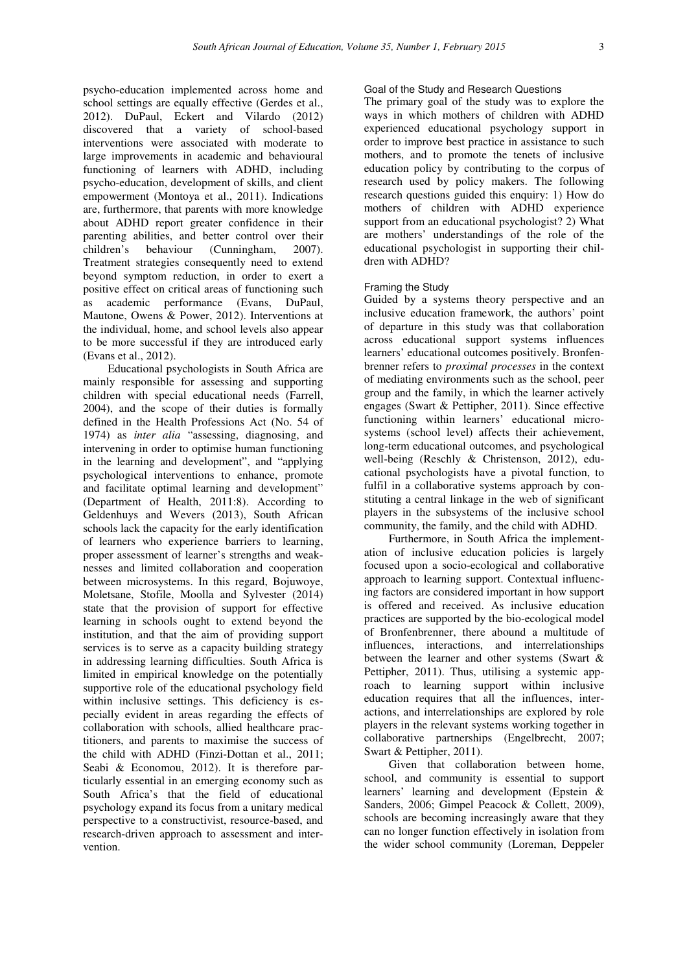psycho-education implemented across home and school settings are equally effective (Gerdes et al., 2012). DuPaul, Eckert and Vilardo (2012) discovered that a variety of school-based interventions were associated with moderate to large improvements in academic and behavioural functioning of learners with ADHD, including psycho-education, development of skills, and client empowerment (Montoya et al., 2011). Indications are, furthermore, that parents with more knowledge about ADHD report greater confidence in their parenting abilities, and better control over their children's behaviour (Cunningham, 2007). Treatment strategies consequently need to extend beyond symptom reduction, in order to exert a positive effect on critical areas of functioning such as academic performance (Evans, DuPaul, Mautone, Owens & Power, 2012). Interventions at the individual, home, and school levels also appear to be more successful if they are introduced early (Evans et al., 2012).

Educational psychologists in South Africa are mainly responsible for assessing and supporting children with special educational needs (Farrell, 2004), and the scope of their duties is formally defined in the Health Professions Act (No. 54 of 1974) as *inter alia* "assessing, diagnosing, and intervening in order to optimise human functioning in the learning and development", and "applying psychological interventions to enhance, promote and facilitate optimal learning and development" (Department of Health, 2011:8). According to Geldenhuys and Wevers (2013), South African schools lack the capacity for the early identification of learners who experience barriers to learning, proper assessment of learner's strengths and weaknesses and limited collaboration and cooperation between microsystems. In this regard, Bojuwoye, Moletsane, Stofile, Moolla and Sylvester (2014) state that the provision of support for effective learning in schools ought to extend beyond the institution, and that the aim of providing support services is to serve as a capacity building strategy in addressing learning difficulties. South Africa is limited in empirical knowledge on the potentially supportive role of the educational psychology field within inclusive settings. This deficiency is especially evident in areas regarding the effects of collaboration with schools, allied healthcare practitioners, and parents to maximise the success of the child with ADHD (Finzi-Dottan et al., 2011; Seabi & Economou, 2012). It is therefore particularly essential in an emerging economy such as South Africa's that the field of educational psychology expand its focus from a unitary medical perspective to a constructivist, resource-based, and research-driven approach to assessment and intervention.

## Goal of the Study and Research Questions

The primary goal of the study was to explore the ways in which mothers of children with ADHD experienced educational psychology support in order to improve best practice in assistance to such mothers, and to promote the tenets of inclusive education policy by contributing to the corpus of research used by policy makers. The following research questions guided this enquiry: 1) How do mothers of children with ADHD experience support from an educational psychologist? 2) What are mothers' understandings of the role of the educational psychologist in supporting their children with ADHD?

#### Framing the Study

Guided by a systems theory perspective and an inclusive education framework, the authors' point of departure in this study was that collaboration across educational support systems influences learners' educational outcomes positively. Bronfenbrenner refers to *proximal processes* in the context of mediating environments such as the school, peer group and the family, in which the learner actively engages (Swart & Pettipher, 2011). Since effective functioning within learners' educational microsystems (school level) affects their achievement, long-term educational outcomes, and psychological well-being (Reschly & Christenson, 2012), educational psychologists have a pivotal function, to fulfil in a collaborative systems approach by constituting a central linkage in the web of significant players in the subsystems of the inclusive school community, the family, and the child with ADHD.

Furthermore, in South Africa the implementation of inclusive education policies is largely focused upon a socio-ecological and collaborative approach to learning support. Contextual influencing factors are considered important in how support is offered and received. As inclusive education practices are supported by the bio-ecological model of Bronfenbrenner, there abound a multitude of influences, interactions, and interrelationships between the learner and other systems (Swart & Pettipher, 2011). Thus, utilising a systemic approach to learning support within inclusive education requires that all the influences, interactions, and interrelationships are explored by role players in the relevant systems working together in collaborative partnerships (Engelbrecht, 2007; Swart & Pettipher, 2011).

Given that collaboration between home, school, and community is essential to support learners' learning and development (Epstein & Sanders, 2006; Gimpel Peacock & Collett, 2009), schools are becoming increasingly aware that they can no longer function effectively in isolation from the wider school community (Loreman, Deppeler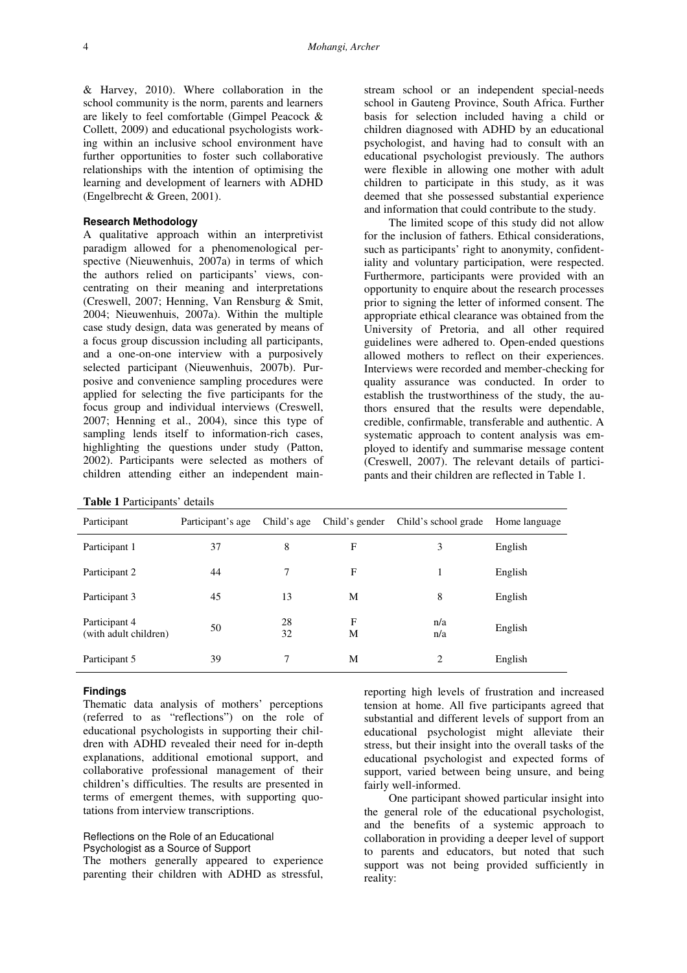& Harvey, 2010). Where collaboration in the school community is the norm, parents and learners are likely to feel comfortable (Gimpel Peacock & Collett, 2009) and educational psychologists working within an inclusive school environment have further opportunities to foster such collaborative relationships with the intention of optimising the learning and development of learners with ADHD (Engelbrecht & Green, 2001).

## **Research Methodology**

A qualitative approach within an interpretivist paradigm allowed for a phenomenological perspective (Nieuwenhuis, 2007a) in terms of which the authors relied on participants' views, concentrating on their meaning and interpretations (Creswell, 2007; Henning, Van Rensburg & Smit, 2004; Nieuwenhuis, 2007a). Within the multiple case study design, data was generated by means of a focus group discussion including all participants, and a one-on-one interview with a purposively selected participant (Nieuwenhuis, 2007b). Purposive and convenience sampling procedures were applied for selecting the five participants for the focus group and individual interviews (Creswell, 2007; Henning et al., 2004), since this type of sampling lends itself to information-rich cases, highlighting the questions under study (Patton, 2002). Participants were selected as mothers of children attending either an independent main-

|  | Table 1 Participants' details |  |
|--|-------------------------------|--|
|--|-------------------------------|--|

stream school or an independent special-needs school in Gauteng Province, South Africa. Further basis for selection included having a child or children diagnosed with ADHD by an educational psychologist, and having had to consult with an educational psychologist previously. The authors were flexible in allowing one mother with adult children to participate in this study, as it was deemed that she possessed substantial experience and information that could contribute to the study.

The limited scope of this study did not allow for the inclusion of fathers. Ethical considerations, such as participants' right to anonymity, confidentiality and voluntary participation, were respected. Furthermore, participants were provided with an opportunity to enquire about the research processes prior to signing the letter of informed consent. The appropriate ethical clearance was obtained from the University of Pretoria, and all other required guidelines were adhered to. Open-ended questions allowed mothers to reflect on their experiences. Interviews were recorded and member-checking for quality assurance was conducted. In order to establish the trustworthiness of the study, the authors ensured that the results were dependable, credible, confirmable, transferable and authentic. A systematic approach to content analysis was employed to identify and summarise message content (Creswell, 2007). The relevant details of participants and their children are reflected in Table 1.

| Participant                            | Participant's age | Child's age | Child's gender | Child's school grade | Home language |
|----------------------------------------|-------------------|-------------|----------------|----------------------|---------------|
| Participant 1                          | 37                | 8           | F              | 3                    | English       |
| Participant 2                          | 44                | 7           | F              |                      | English       |
| Participant 3                          | 45                | 13          | M              | 8                    | English       |
| Participant 4<br>(with adult children) | 50                | 28<br>32    | F<br>M         | n/a<br>n/a           | English       |
| Participant 5                          | 39                | 7           | M              | 2                    | English       |

### **Findings**

Thematic data analysis of mothers' perceptions (referred to as "reflections") on the role of educational psychologists in supporting their children with ADHD revealed their need for in-depth explanations, additional emotional support, and collaborative professional management of their children's difficulties. The results are presented in terms of emergent themes, with supporting quotations from interview transcriptions.

#### Reflections on the Role of an Educational Psychologist as a Source of Support

The mothers generally appeared to experience parenting their children with ADHD as stressful,

reporting high levels of frustration and increased tension at home. All five participants agreed that substantial and different levels of support from an educational psychologist might alleviate their stress, but their insight into the overall tasks of the educational psychologist and expected forms of support, varied between being unsure, and being fairly well-informed.

One participant showed particular insight into the general role of the educational psychologist, and the benefits of a systemic approach to collaboration in providing a deeper level of support to parents and educators, but noted that such support was not being provided sufficiently in reality: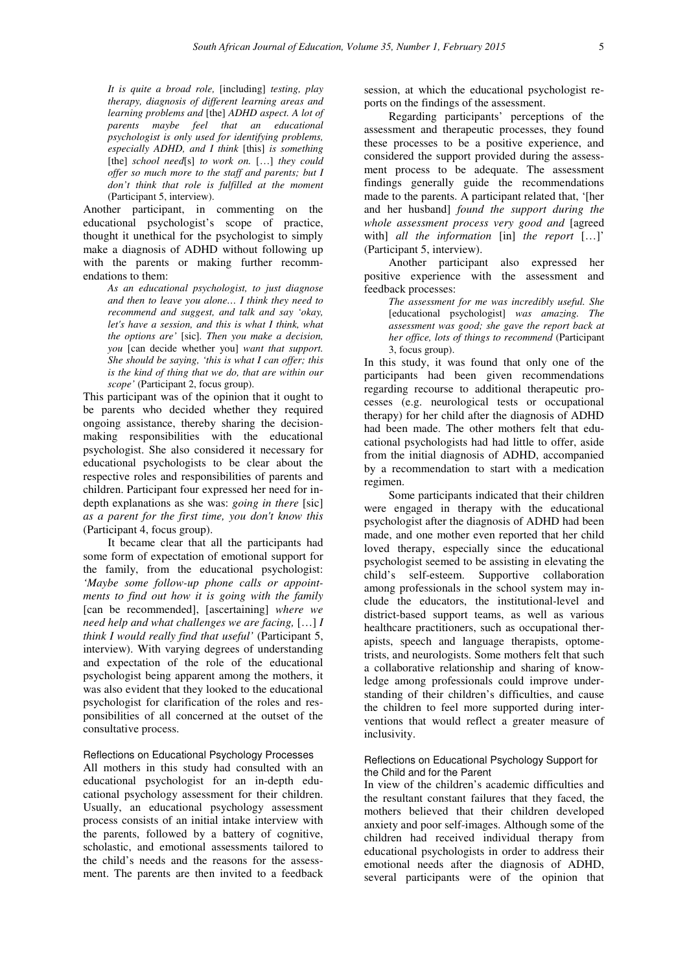*It is quite a broad role,* [including] *testing, play therapy, diagnosis of different learning areas and learning problems and* [the] *ADHD aspect. A lot of parents maybe feel that an educational psychologist is only used for identifying problems, especially ADHD, and I think* [this] *is something*  [the] school need[s] to work on. [...] they could *offer so much more to the staff and parents; but I don't think that role is fulfilled at the moment*  (Participant 5, interview).

Another participant, in commenting on the educational psychologist's scope of practice, thought it unethical for the psychologist to simply make a diagnosis of ADHD without following up with the parents or making further recommendations to them:

> *As an educational psychologist, to just diagnose and then to leave you alone… I think they need to recommend and suggest, and talk and say 'okay, let's have a session, and this is what I think, what the options are'* [sic]*. Then you make a decision, you* [can decide whether you] *want that support. She should be saying, 'this is what I can offer; this is the kind of thing that we do, that are within our scope'* (Participant 2, focus group).

This participant was of the opinion that it ought to be parents who decided whether they required ongoing assistance, thereby sharing the decisionmaking responsibilities with the educational psychologist. She also considered it necessary for educational psychologists to be clear about the respective roles and responsibilities of parents and children. Participant four expressed her need for indepth explanations as she was: *going in there* [sic] *as a parent for the first time, you don't know this* (Participant 4, focus group).

It became clear that all the participants had some form of expectation of emotional support for the family, from the educational psychologist: *'Maybe some follow-up phone calls or appointments to find out how it is going with the family*  [can be recommended], [ascertaining] *where we need help and what challenges we are facing,* […] *I think I would really find that useful'* (Participant 5, interview). With varying degrees of understanding and expectation of the role of the educational psychologist being apparent among the mothers, it was also evident that they looked to the educational psychologist for clarification of the roles and responsibilities of all concerned at the outset of the consultative process.

#### Reflections on Educational Psychology Processes

All mothers in this study had consulted with an educational psychologist for an in-depth educational psychology assessment for their children. Usually, an educational psychology assessment process consists of an initial intake interview with the parents, followed by a battery of cognitive, scholastic, and emotional assessments tailored to the child's needs and the reasons for the assessment. The parents are then invited to a feedback

session, at which the educational psychologist reports on the findings of the assessment.

Regarding participants' perceptions of the assessment and therapeutic processes, they found these processes to be a positive experience, and considered the support provided during the assessment process to be adequate. The assessment findings generally guide the recommendations made to the parents. A participant related that, '[her and her husband] *found the support during the whole assessment process very good and* [agreed with] *all the information* [in] *the report* […]' (Participant 5, interview).

Another participant also expressed her positive experience with the assessment and feedback processes:

> *The assessment for me was incredibly useful. She*  [educational psychologist] *was amazing. The assessment was good; she gave the report back at her office, lots of things to recommend* (Participant 3, focus group).

In this study, it was found that only one of the participants had been given recommendations regarding recourse to additional therapeutic processes (e.g. neurological tests or occupational therapy) for her child after the diagnosis of ADHD had been made. The other mothers felt that educational psychologists had had little to offer, aside from the initial diagnosis of ADHD, accompanied by a recommendation to start with a medication regimen.

Some participants indicated that their children were engaged in therapy with the educational psychologist after the diagnosis of ADHD had been made, and one mother even reported that her child loved therapy, especially since the educational psychologist seemed to be assisting in elevating the child's self-esteem. Supportive collaboration among professionals in the school system may include the educators, the institutional-level and district-based support teams, as well as various healthcare practitioners, such as occupational therapists, speech and language therapists, optometrists, and neurologists. Some mothers felt that such a collaborative relationship and sharing of knowledge among professionals could improve understanding of their children's difficulties, and cause the children to feel more supported during interventions that would reflect a greater measure of inclusivity.

### Reflections on Educational Psychology Support for the Child and for the Parent

In view of the children's academic difficulties and the resultant constant failures that they faced, the mothers believed that their children developed anxiety and poor self-images. Although some of the children had received individual therapy from educational psychologists in order to address their emotional needs after the diagnosis of ADHD, several participants were of the opinion that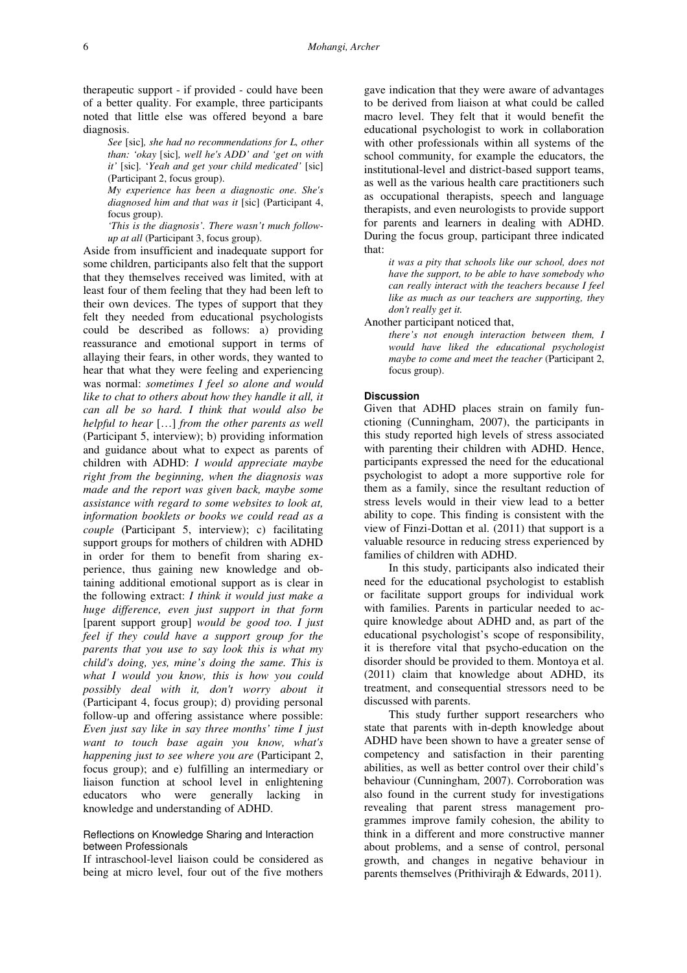therapeutic support - if provided - could have been of a better quality. For example, three participants noted that little else was offered beyond a bare diagnosis.

> *See* [sic]*, she had no recommendations for L, other than: 'okay* [sic]*, well he's ADD' and 'get on with it'* [sic]*.* '*Yeah and get your child medicated'* [sic] (Participant 2, focus group).

> *My experience has been a diagnostic one. She's diagnosed him and that was it* [sic] (Participant 4, focus group).

> *'This is the diagnosis'. There wasn't much followup at all* (Participant 3, focus group).

Aside from insufficient and inadequate support for some children, participants also felt that the support that they themselves received was limited, with at least four of them feeling that they had been left to their own devices. The types of support that they felt they needed from educational psychologists could be described as follows: a) providing reassurance and emotional support in terms of allaying their fears, in other words, they wanted to hear that what they were feeling and experiencing was normal: *sometimes I feel so alone and would like to chat to others about how they handle it all, it can all be so hard. I think that would also be helpful to hear* […] *from the other parents as well*  (Participant 5, interview); b) providing information and guidance about what to expect as parents of children with ADHD: *I would appreciate maybe right from the beginning, when the diagnosis was made and the report was given back, maybe some assistance with regard to some websites to look at, information booklets or books we could read as a couple* (Participant 5, interview); c) facilitating support groups for mothers of children with ADHD in order for them to benefit from sharing experience, thus gaining new knowledge and obtaining additional emotional support as is clear in the following extract: *I think it would just make a huge difference, even just support in that form*  [parent support group] *would be good too. I just feel if they could have a support group for the parents that you use to say look this is what my child's doing, yes, mine's doing the same. This is what I would you know, this is how you could possibly deal with it, don't worry about it*  (Participant 4, focus group); d) providing personal follow-up and offering assistance where possible: *Even just say like in say three months' time I just want to touch base again you know, what's happening just to see where you are* (Participant 2, focus group); and e) fulfilling an intermediary or liaison function at school level in enlightening educators who were generally lacking in knowledge and understanding of ADHD.

## Reflections on Knowledge Sharing and Interaction between Professionals

If intraschool-level liaison could be considered as being at micro level, four out of the five mothers gave indication that they were aware of advantages to be derived from liaison at what could be called macro level. They felt that it would benefit the educational psychologist to work in collaboration with other professionals within all systems of the school community, for example the educators, the institutional-level and district-based support teams, as well as the various health care practitioners such as occupational therapists, speech and language therapists, and even neurologists to provide support for parents and learners in dealing with ADHD. During the focus group, participant three indicated that:

*it was a pity that schools like our school, does not have the support, to be able to have somebody who can really interact with the teachers because I feel like as much as our teachers are supporting, they don't really get it.* 

Another participant noticed that,

*there's not enough interaction between them, I would have liked the educational psychologist maybe to come and meet the teacher* (Participant 2, focus group).

### **Discussion**

Given that ADHD places strain on family functioning (Cunningham, 2007), the participants in this study reported high levels of stress associated with parenting their children with ADHD. Hence, participants expressed the need for the educational psychologist to adopt a more supportive role for them as a family, since the resultant reduction of stress levels would in their view lead to a better ability to cope. This finding is consistent with the view of Finzi-Dottan et al. (2011) that support is a valuable resource in reducing stress experienced by families of children with ADHD.

In this study, participants also indicated their need for the educational psychologist to establish or facilitate support groups for individual work with families. Parents in particular needed to acquire knowledge about ADHD and, as part of the educational psychologist's scope of responsibility, it is therefore vital that psycho-education on the disorder should be provided to them. Montoya et al. (2011) claim that knowledge about ADHD, its treatment, and consequential stressors need to be discussed with parents.

This study further support researchers who state that parents with in-depth knowledge about ADHD have been shown to have a greater sense of competency and satisfaction in their parenting abilities, as well as better control over their child's behaviour (Cunningham, 2007). Corroboration was also found in the current study for investigations revealing that parent stress management programmes improve family cohesion, the ability to think in a different and more constructive manner about problems, and a sense of control, personal growth, and changes in negative behaviour in parents themselves (Prithivirajh & Edwards, 2011).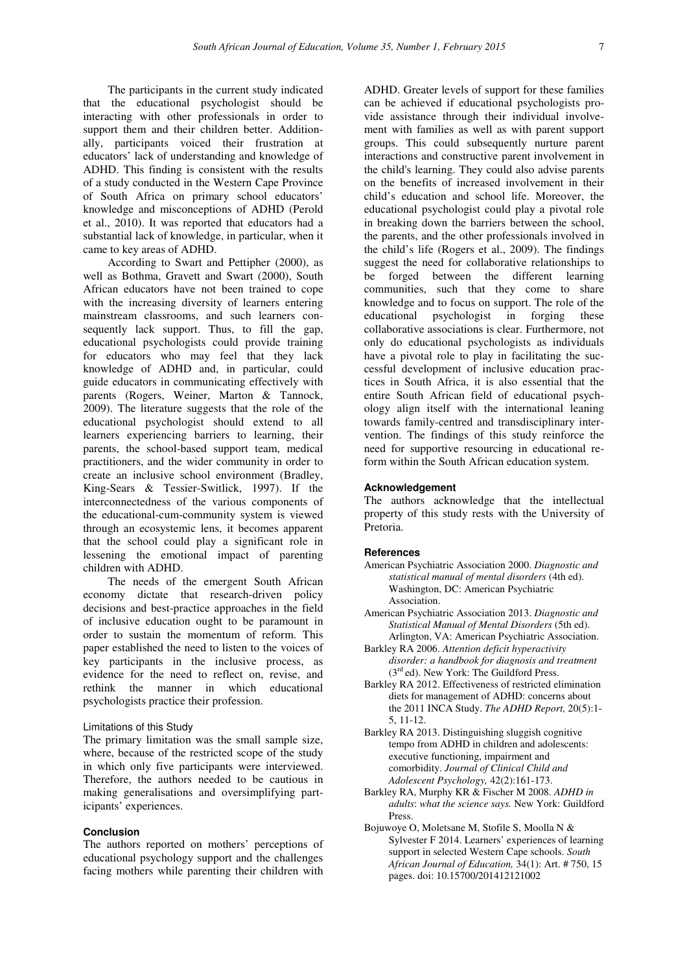The participants in the current study indicated that the educational psychologist should be interacting with other professionals in order to support them and their children better. Additionally, participants voiced their frustration at educators' lack of understanding and knowledge of ADHD. This finding is consistent with the results of a study conducted in the Western Cape Province of South Africa on primary school educators' knowledge and misconceptions of ADHD (Perold et al., 2010). It was reported that educators had a substantial lack of knowledge, in particular, when it came to key areas of ADHD.

According to Swart and Pettipher (2000), as well as Bothma, Gravett and Swart (2000), South African educators have not been trained to cope with the increasing diversity of learners entering mainstream classrooms, and such learners consequently lack support. Thus, to fill the gap, educational psychologists could provide training for educators who may feel that they lack knowledge of ADHD and, in particular, could guide educators in communicating effectively with parents (Rogers, Weiner, Marton & Tannock, 2009). The literature suggests that the role of the educational psychologist should extend to all learners experiencing barriers to learning, their parents, the school-based support team, medical practitioners, and the wider community in order to create an inclusive school environment (Bradley, King-Sears & Tessier-Switlick, 1997). If the interconnectedness of the various components of the educational-cum-community system is viewed through an ecosystemic lens, it becomes apparent that the school could play a significant role in lessening the emotional impact of parenting children with ADHD.

The needs of the emergent South African economy dictate that research-driven policy decisions and best-practice approaches in the field of inclusive education ought to be paramount in order to sustain the momentum of reform. This paper established the need to listen to the voices of key participants in the inclusive process, as evidence for the need to reflect on, revise, and rethink the manner in which educational psychologists practice their profession.

## Limitations of this Study

The primary limitation was the small sample size, where, because of the restricted scope of the study in which only five participants were interviewed. Therefore, the authors needed to be cautious in making generalisations and oversimplifying participants' experiences.

## **Conclusion**

The authors reported on mothers' perceptions of educational psychology support and the challenges facing mothers while parenting their children with

ADHD. Greater levels of support for these families can be achieved if educational psychologists provide assistance through their individual involvement with families as well as with parent support groups. This could subsequently nurture parent interactions and constructive parent involvement in the child's learning. They could also advise parents on the benefits of increased involvement in their child's education and school life. Moreover, the educational psychologist could play a pivotal role in breaking down the barriers between the school, the parents, and the other professionals involved in the child's life (Rogers et al., 2009). The findings suggest the need for collaborative relationships to be forged between the different learning communities, such that they come to share knowledge and to focus on support. The role of the educational psychologist in forging these collaborative associations is clear. Furthermore, not only do educational psychologists as individuals have a pivotal role to play in facilitating the successful development of inclusive education practices in South Africa, it is also essential that the entire South African field of educational psychology align itself with the international leaning towards family-centred and transdisciplinary intervention. The findings of this study reinforce the need for supportive resourcing in educational reform within the South African education system.

## **Acknowledgement**

The authors acknowledge that the intellectual property of this study rests with the University of Pretoria.

## **References**

- American Psychiatric Association 2000. *Diagnostic and statistical manual of mental disorders* (4th ed). Washington, DC: American Psychiatric Association.
- American Psychiatric Association 2013. *Diagnostic and Statistical Manual of Mental Disorders* (5th ed). Arlington, VA: American Psychiatric Association.
- Barkley RA 2006. *Attention deficit hyperactivity disorder: a handbook for diagnosis and treatment* (3rd ed). New York: The Guildford Press.
- Barkley RA 2012. Effectiveness of restricted elimination diets for management of ADHD: concerns about the 2011 INCA Study. *The ADHD Report,* 20(5):1- 5, 11-12.
- Barkley RA 2013. Distinguishing sluggish cognitive tempo from ADHD in children and adolescents: executive functioning, impairment and comorbidity. *Journal of Clinical Child and Adolescent Psychology,* 42(2):161-173.
- Barkley RA, Murphy KR & Fischer M 2008. *ADHD in adults*: *what the science says.* New York: Guildford Press.
- Bojuwoye O, Moletsane M, Stofile S, Moolla N & Sylvester F 2014. Learners' experiences of learning support in selected Western Cape schools. *South African Journal of Education,* 34(1): Art. # 750, 15 pages. doi: 10.15700/201412121002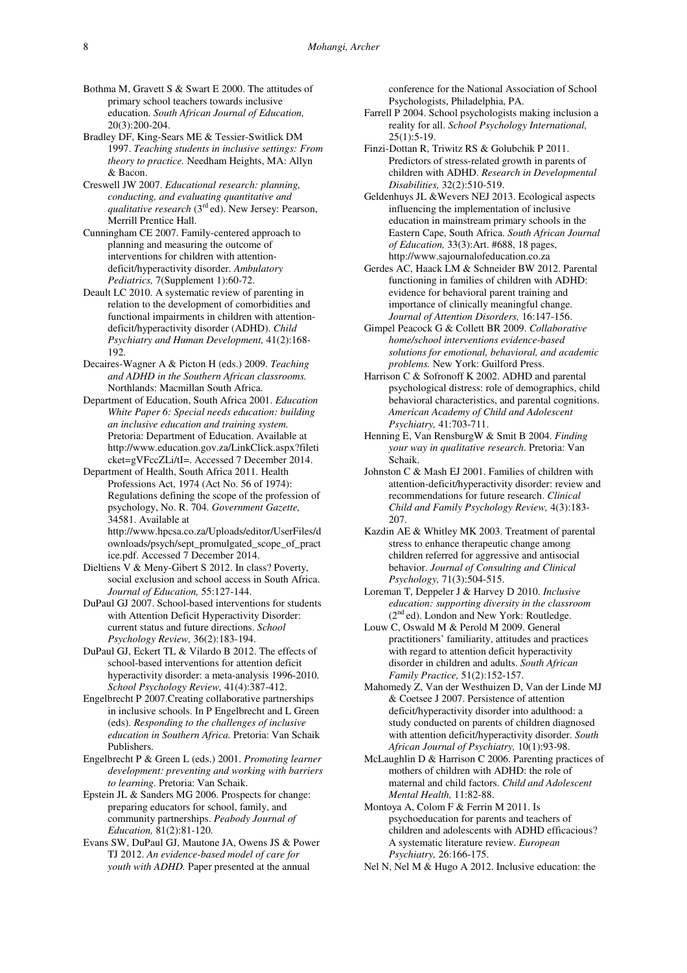- Bothma M, Gravett S & Swart E 2000. The attitudes of primary school teachers towards inclusive education. *South African Journal of Education,* 20(3):200-204.
- Bradley DF, King-Sears ME & Tessier-Switlick DM 1997. *Teaching students in inclusive settings: From theory to practice.* Needham Heights, MA: Allyn & Bacon.
- Creswell JW 2007. *Educational research: planning, conducting, and evaluating quantitative and qualitative research* (3<sup>rd</sup> ed). New Jersey: Pearson, Merrill Prentice Hall.
- Cunningham CE 2007. Family-centered approach to planning and measuring the outcome of interventions for children with attentiondeficit/hyperactivity disorder. *Ambulatory Pediatrics,* 7(Supplement 1):60-72.
- Deault LC 2010. A systematic review of parenting in relation to the development of comorbidities and functional impairments in children with attentiondeficit/hyperactivity disorder (ADHD). *Child Psychiatry and Human Development,* 41(2):168- 192.
- Decaires-Wagner A & Picton H (eds.) 2009. *Teaching and ADHD in the Southern African classrooms.* Northlands: Macmillan South Africa.
- Department of Education, South Africa 2001. *Education White Paper 6: Special needs education: building an inclusive education and training system.*  Pretoria: Department of Education. Available at http://www.education.gov.za/LinkClick.aspx?fileti cket=gVFccZLi/tI=. Accessed 7 December 2014.
- Department of Health, South Africa 2011. Health Professions Act, 1974 (Act No. 56 of 1974): Regulations defining the scope of the profession of psychology, No. R. 704. *Government Gazette,* 34581. Available at http://www.hpcsa.co.za/Uploads/editor/UserFiles/d

ownloads/psych/sept\_promulgated\_scope\_of\_pract ice.pdf. Accessed 7 December 2014.

- Dieltiens V & Meny-Gibert S 2012. In class? Poverty, social exclusion and school access in South Africa. *Journal of Education,* 55:127-144.
- DuPaul GJ 2007. School-based interventions for students with Attention Deficit Hyperactivity Disorder: current status and future directions. *School Psychology Review,* 36(2):183-194.
- DuPaul GJ, Eckert TL & Vilardo B 2012. The effects of school-based interventions for attention deficit hyperactivity disorder: a meta-analysis 1996-2010. *School Psychology Review,* 41(4):387-412.
- Engelbrecht P 2007.Creating collaborative partnerships in inclusive schools. In P Engelbrecht and L Green (eds). *Responding to the challenges of inclusive education in Southern Africa.* Pretoria: Van Schaik Publishers.
- Engelbrecht P & Green L (eds.) 2001. *Promoting learner development: preventing and working with barriers to learning.* Pretoria: Van Schaik.
- Epstein JL & Sanders MG 2006. Prospects for change: preparing educators for school, family, and community partnerships. *Peabody Journal of Education,* 81(2):81-120.
- Evans SW, DuPaul GJ, Mautone JA, Owens JS & Power TJ 2012. *An evidence-based model of care for youth with ADHD.* Paper presented at the annual

conference for the National Association of School Psychologists, Philadelphia, PA.

- Farrell P 2004. School psychologists making inclusion a reality for all. *School Psychology International,*   $25(1):5-19.$
- Finzi-Dottan R, Triwitz RS & Golubchik P 2011. Predictors of stress-related growth in parents of children with ADHD. *Research in Developmental Disabilities,* 32(2):510-519.
- Geldenhuys JL &Wevers NEJ 2013. Ecological aspects influencing the implementation of inclusive education in mainstream primary schools in the Eastern Cape, South Africa. *South African Journal of Education,* 33(3):Art. #688, 18 pages, http://www.sajournalofeducation.co.za
- Gerdes AC, Haack LM & Schneider BW 2012. Parental functioning in families of children with ADHD: evidence for behavioral parent training and importance of clinically meaningful change. *Journal of Attention Disorders,* 16:147-156.
- Gimpel Peacock G & Collett BR 2009. *Collaborative home/school interventions evidence-based solutions for emotional, behavioral, and academic problems.* New York: Guilford Press.
- Harrison C & Sofronoff K 2002. ADHD and parental psychological distress: role of demographics, child behavioral characteristics, and parental cognitions. *American Academy of Child and Adolescent Psychiatry,* 41:703-711.
- Henning E, Van RensburgW & Smit B 2004. *Finding your way in qualitative research.* Pretoria: Van Schaik.
- Johnston C & Mash EJ 2001. Families of children with attention-deficit/hyperactivity disorder: review and recommendations for future research. *Clinical Child and Family Psychology Review,* 4(3):183- 207.
- Kazdin AE & Whitley MK 2003. Treatment of parental stress to enhance therapeutic change among children referred for aggressive and antisocial behavior. *Journal of Consulting and Clinical Psychology,* 71(3):504-515.
- Loreman T, Deppeler J & Harvey D 2010. *Inclusive education: supporting diversity in the classroom* (2<sup>nd</sup> ed). London and New York: Routledge.
- Louw C, Oswald M & Perold M 2009. General practitioners' familiarity, attitudes and practices with regard to attention deficit hyperactivity disorder in children and adults. *South African Family Practice,* 51(2):152-157.
- Mahomedy Z, Van der Westhuizen D, Van der Linde MJ & Coetsee J 2007. Persistence of attention deficit/hyperactivity disorder into adulthood: a study conducted on parents of children diagnosed with attention deficit/hyperactivity disorder. *South African Journal of Psychiatry,* 10(1):93-98.
- McLaughlin D & Harrison C 2006. Parenting practices of mothers of children with ADHD: the role of maternal and child factors. *Child and Adolescent Mental Health,* 11:82-88.
- Montoya A, Colom F & Ferrin M 2011. Is psychoeducation for parents and teachers of children and adolescents with ADHD efficacious? A systematic literature review. *European Psychiatry,* 26:166-175.
- Nel N, Nel M & Hugo A 2012. Inclusive education: the